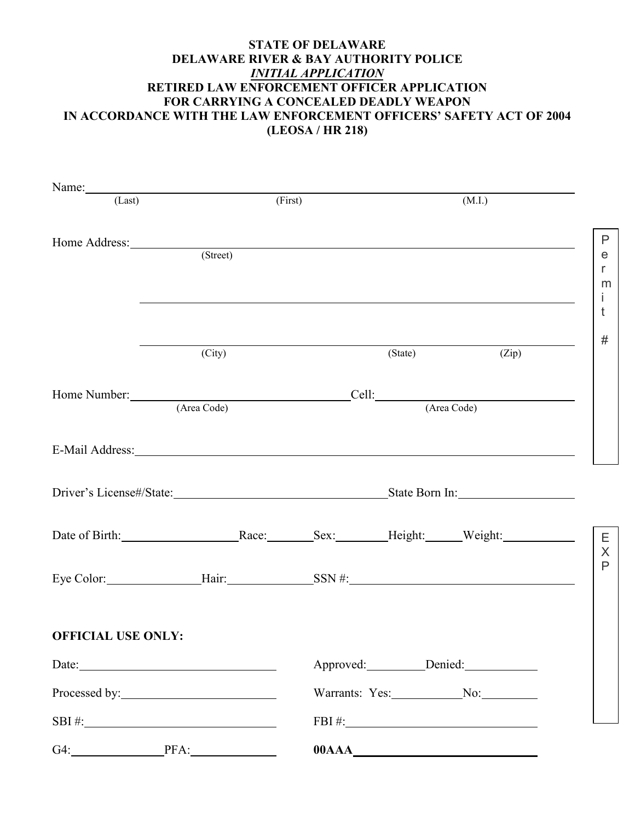## **STATE OF DELAWARE DELAWARE RIVER & BAY AUTHORITY POLICE**  *INITIAL APPLICATION* **RETIRED LAW ENFORCEMENT OFFICER APPLICATION FOR CARRYING A CONCEALED DEADLY WEAPON IN ACCORDANCE WITH THE LAW ENFORCEMENT OFFICERS' SAFETY ACT OF 2004 (LEOSA / HR 218)**

| Name: (Last)                                                                                                                                                                                                                  |          |                                                  | (First)<br>(M.I.)  |                           |              |
|-------------------------------------------------------------------------------------------------------------------------------------------------------------------------------------------------------------------------------|----------|--------------------------------------------------|--------------------|---------------------------|--------------|
| Home Address:                                                                                                                                                                                                                 |          |                                                  |                    |                           | $\mathsf{P}$ |
|                                                                                                                                                                                                                               | (Street) |                                                  |                    |                           | e<br>r       |
|                                                                                                                                                                                                                               |          |                                                  |                    |                           | m<br>İ       |
|                                                                                                                                                                                                                               |          |                                                  |                    |                           | t            |
|                                                                                                                                                                                                                               | (City)   |                                                  | (State)            | $\overline{(\text{Zip})}$ | $\#$         |
|                                                                                                                                                                                                                               |          |                                                  |                    |                           |              |
|                                                                                                                                                                                                                               |          | Home Number: Cell: Cell: Cell: Cell: (Area Code) |                    |                           |              |
| E-Mail Address: No. 2016. The Mail Address: No. 2016. The Mail Address: No. 2016. The Mail Address: No. 2016. The Mail Address: No. 2016. The Mail Address: No. 2016. The Mail Address: No. 2016. The Mail Address: No. 2016. |          |                                                  |                    |                           |              |
|                                                                                                                                                                                                                               |          |                                                  |                    |                           |              |
| Date of Birth: Race: Race: Sex: Height: Weight: Weight:                                                                                                                                                                       |          |                                                  |                    |                           | Ε<br>$\sf X$ |
|                                                                                                                                                                                                                               |          |                                                  |                    |                           | $\mathsf{P}$ |
| <b>OFFICIAL USE ONLY:</b>                                                                                                                                                                                                     |          |                                                  |                    |                           |              |
|                                                                                                                                                                                                                               | Date:    |                                                  | Approved: Denied:  |                           |              |
|                                                                                                                                                                                                                               |          |                                                  | Warrants: Yes: No: |                           |              |
|                                                                                                                                                                                                                               |          | $FBI \#:\_$                                      |                    |                           |              |
| G4: PFA: PFA:                                                                                                                                                                                                                 |          |                                                  |                    |                           |              |